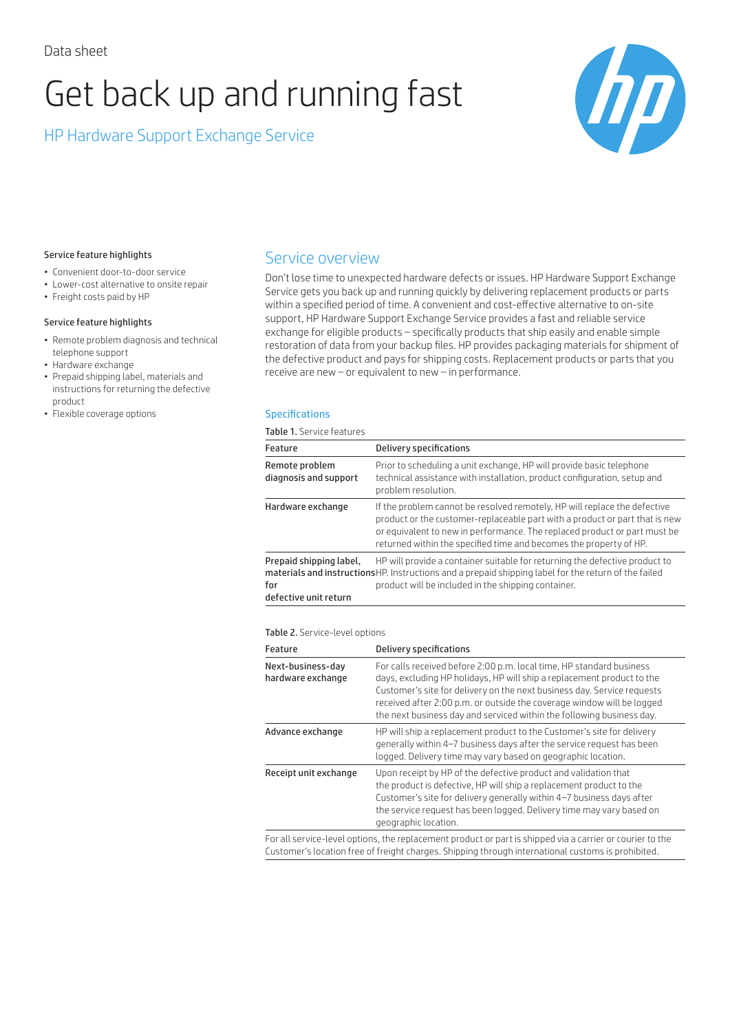# Get back up and running fast

HP Hardware Support Exchange Service



#### Service feature highlights

- Convenient door-to-door service
- Lower-cost alternative to onsite repair
- Freight costs paid by HP

#### Service feature highlights

- Remote problem diagnosis and technical telephone support
- Hardware exchange
- Prepaid shipping label, materials and instructions for returning the defective product
- Flexible coverage options

# Service overview

Don't lose time to unexpected hardware defects or issues. HP Hardware Support Exchange Service gets you back up and running quickly by delivering replacement products or parts within a specified period of time. A convenient and cost-effective alternative to on-site support, HP Hardware Support Exchange Service provides a fast and reliable service exchange for eligible products – specifically products that ship easily and enable simple restoration of data from your backup files. HP provides packaging materials for shipment of the defective product and pays for shipping costs. Replacement products or parts that you receive are new – or equivalent to new – in performance.

#### **Specifications**

Table 1. Service features

| Feature                                                 | Delivery specifications                                                                                                                                                                                                                                                                                     |
|---------------------------------------------------------|-------------------------------------------------------------------------------------------------------------------------------------------------------------------------------------------------------------------------------------------------------------------------------------------------------------|
| Remote problem<br>diagnosis and support                 | Prior to scheduling a unit exchange. HP will provide basic telephone<br>technical assistance with installation, product configuration, setup and<br>problem resolution.                                                                                                                                     |
| Hardware exchange                                       | If the problem cannot be resolved remotely. HP will replace the defective<br>product or the customer-replaceable part with a product or part that is new<br>or equivalent to new in performance. The replaced product or part must be<br>returned within the specified time and becomes the property of HP. |
| Prepaid shipping label,<br>for<br>defective unit return | HP will provide a container suitable for returning the defective product to<br>materials and instructionsHP. Instructions and a prepaid shipping label for the return of the failed<br>product will be included in the shipping container.                                                                  |

Table 2. Service-level options

| Feature                                | Delivery specifications                                                                                                                                                                                                                                                                                                                                                      |
|----------------------------------------|------------------------------------------------------------------------------------------------------------------------------------------------------------------------------------------------------------------------------------------------------------------------------------------------------------------------------------------------------------------------------|
| Next-business-day<br>hardware exchange | For calls received before 2:00 p.m. local time, HP standard business<br>days, excluding HP holidays, HP will ship a replacement product to the<br>Customer's site for delivery on the next business day. Service requests<br>received after 2:00 p.m. or outside the coverage window will be logged<br>the next business day and serviced within the following business day. |
| Advance exchange                       | HP will ship a replacement product to the Customer's site for delivery<br>generally within 4-7 business days after the service request has been<br>logged. Delivery time may vary based on geographic location.                                                                                                                                                              |
| Receipt unit exchange                  | Upon receipt by HP of the defective product and validation that<br>the product is defective. HP will ship a replacement product to the<br>Customer's site for delivery generally within 4-7 business days after<br>the service request has been logged. Delivery time may vary based on<br>geographic location.                                                              |
|                                        | For all corvico-lovel options, the replacement product or part is shipped via a sarrier or sourier to the                                                                                                                                                                                                                                                                    |

For all service-level options, the replacement product or part is shipped via a carrier or courier to the Customer's location free of freight charges. Shipping through international customs is prohibited.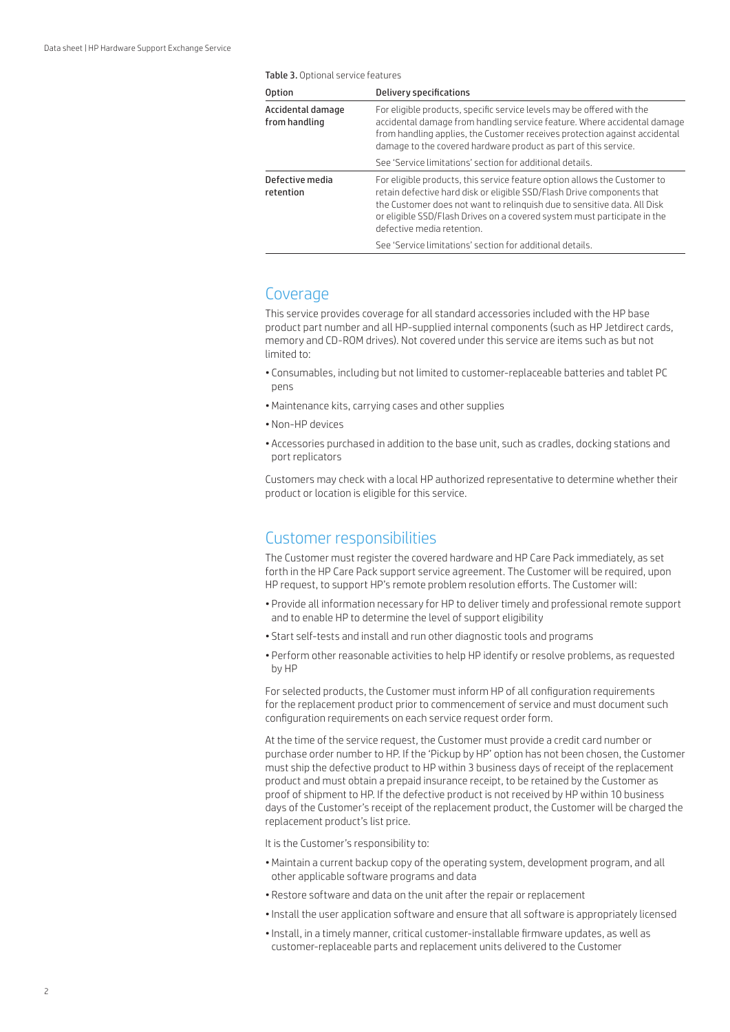| <b>Option</b>                      | Delivery specifications                                                                                                                                                                                                                                                                                                                   |
|------------------------------------|-------------------------------------------------------------------------------------------------------------------------------------------------------------------------------------------------------------------------------------------------------------------------------------------------------------------------------------------|
| Accidental damage<br>from handling | For eligible products, specific service levels may be offered with the<br>accidental damage from handling service feature. Where accidental damage<br>from handling applies, the Customer receives protection against accidental<br>damage to the covered hardware product as part of this service.                                       |
|                                    | See 'Service limitations' section for additional details.                                                                                                                                                                                                                                                                                 |
| Defective media<br>retention       | For eligible products, this service feature option allows the Customer to<br>retain defective hard disk or eligible SSD/Flash Drive components that<br>the Customer does not want to relinguish due to sensitive data. All Disk<br>or eligible SSD/Flash Drives on a covered system must participate in the<br>defective media retention. |
|                                    | See 'Service limitations' section for additional details.                                                                                                                                                                                                                                                                                 |

## Coverage

This service provides coverage for all standard accessories included with the HP base product part number and all HP-supplied internal components (such as HP Jetdirect cards, memory and CD-ROM drives). Not covered under this service are items such as but not limited to:

- Consumables, including but not limited to customer-replaceable batteries and tablet PC pens
- •Maintenance kits, carrying cases and other supplies
- Non-HP devices
- Accessories purchased in addition to the base unit, such as cradles, docking stations and port replicators

Customers may check with a local HP authorized representative to determine whether their product or location is eligible for this service.

## Customer responsibilities

The Customer must register the covered hardware and HP Care Pack immediately, as set forth in the HP Care Pack support service agreement. The Customer will be required, upon HP request, to support HP's remote problem resolution efforts. The Customer will:

- Provide all information necessary for HP to deliver timely and professional remote support and to enable HP to determine the level of support eligibility
- Start self-tests and install and run other diagnostic tools and programs
- Perform other reasonable activities to help HP identify or resolve problems, as requested by HP

For selected products, the Customer must inform HP of all configuration requirements for the replacement product prior to commencement of service and must document such configuration requirements on each service request order form.

At the time of the service request, the Customer must provide a credit card number or purchase order number to HP. If the 'Pickup by HP' option has not been chosen, the Customer must ship the defective product to HP within 3 business days of receipt of the replacement product and must obtain a prepaid insurance receipt, to be retained by the Customer as proof of shipment to HP. If the defective product is not received by HP within 10 business days of the Customer's receipt of the replacement product, the Customer will be charged the replacement product's list price.

It is the Customer's responsibility to:

- •Maintain a current backup copy of the operating system, development program, and all other applicable software programs and data
- Restore software and data on the unit after the repair or replacement
- •Install the user application software and ensure that all software is appropriately licensed
- •Install, in a timely manner, critical customer-installable firmware updates, as well as customer-replaceable parts and replacement units delivered to the Customer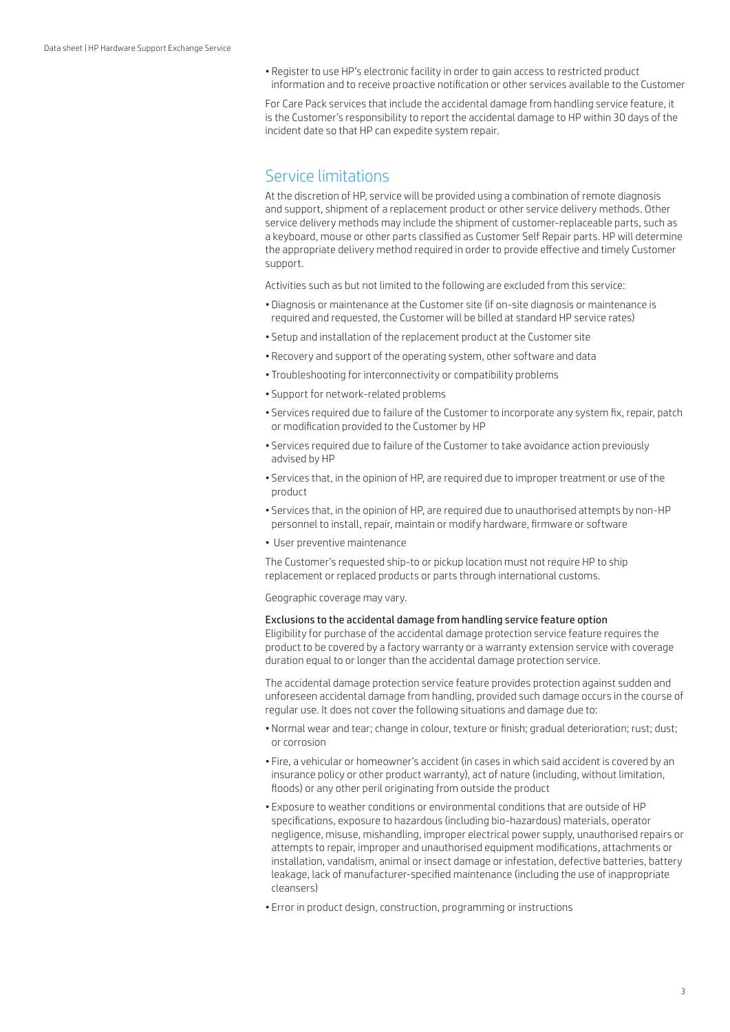• Register to use HP's electronic facility in order to gain access to restricted product information and to receive proactive notification or other services available to the Customer

For Care Pack services that include the accidental damage from handling service feature, it is the Customer's responsibility to report the accidental damage to HP within 30 days of the incident date so that HP can expedite system repair.

## Service limitations

At the discretion of HP, service will be provided using a combination of remote diagnosis and support, shipment of a replacement product or other service delivery methods. Other service delivery methods may include the shipment of customer-replaceable parts, such as a keyboard, mouse or other parts classified as Customer Self Repair parts. HP will determine the appropriate delivery method required in order to provide effective and timely Customer support.

Activities such as but not limited to the following are excluded from this service:

- Diagnosis or maintenance at the Customer site (if on-site diagnosis or maintenance is required and requested, the Customer will be billed at standard HP service rates)
- Setup and installation of the replacement product at the Customer site
- Recovery and support of the operating system, other software and data
- Troubleshooting for interconnectivity or compatibility problems
- Support for network-related problems
- Services required due to failure of the Customer to incorporate any system fix, repair, patch or modification provided to the Customer by HP
- Services required due to failure of the Customer to take avoidance action previously advised by HP
- Services that, in the opinion of HP, are required due to improper treatment or use of the product
- Services that, in the opinion of HP, are required due to unauthorised attempts by non-HP personnel to install, repair, maintain or modify hardware, firmware or software
- User preventive maintenance

The Customer's requested ship-to or pickup location must not require HP to ship replacement or replaced products or parts through international customs.

Geographic coverage may vary.

#### Exclusions to the accidental damage from handling service feature option

Eligibility for purchase of the accidental damage protection service feature requires the product to be covered by a factory warranty or a warranty extension service with coverage duration equal to or longer than the accidental damage protection service.

The accidental damage protection service feature provides protection against sudden and unforeseen accidental damage from handling, provided such damage occurs in the course of regular use. It does not cover the following situations and damage due to:

- Normal wear and tear; change in colour, texture or finish; gradual deterioration; rust; dust; or corrosion
- Fire, a vehicular or homeowner's accident (in cases in which said accident is covered by an insurance policy or other product warranty), act of nature (including, without limitation, floods) or any other peril originating from outside the product
- Exposure to weather conditions or environmental conditions that are outside of HP specifications, exposure to hazardous (including bio-hazardous) materials, operator negligence, misuse, mishandling, improper electrical power supply, unauthorised repairs or attempts to repair, improper and unauthorised equipment modifications, attachments or installation, vandalism, animal or insect damage or infestation, defective batteries, battery leakage, lack of manufacturer-specified maintenance (including the use of inappropriate cleansers)
- Error in product design, construction, programming or instructions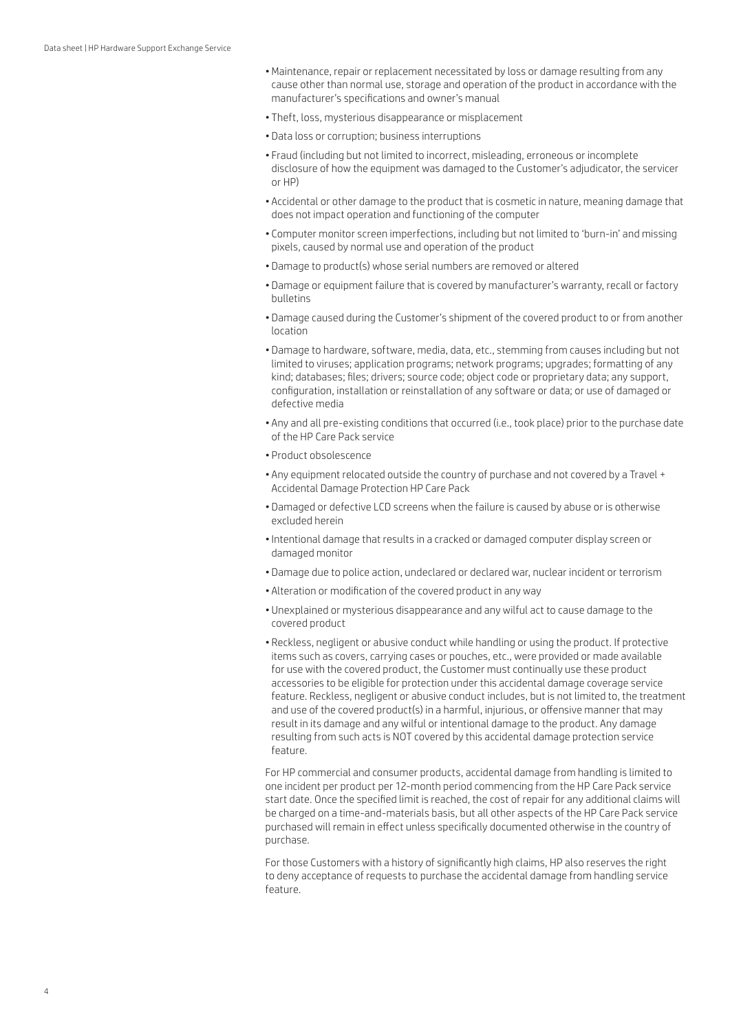- •Maintenance, repair or replacement necessitated by loss or damage resulting from any cause other than normal use, storage and operation of the product in accordance with the manufacturer's specifications and owner's manual
- Theft, loss, mysterious disappearance or misplacement
- Data loss or corruption; business interruptions
- Fraud (including but not limited to incorrect, misleading, erroneous or incomplete disclosure of how the equipment was damaged to the Customer's adjudicator, the servicer or HP)
- Accidental or other damage to the product that is cosmetic in nature, meaning damage that does not impact operation and functioning of the computer
- Computer monitor screen imperfections, including but not limited to 'burn-in' and missing pixels, caused by normal use and operation of the product
- Damage to product(s) whose serial numbers are removed or altered
- Damage or equipment failure that is covered by manufacturer's warranty, recall or factory bulletins
- Damage caused during the Customer's shipment of the covered product to or from another location
- Damage to hardware, software, media, data, etc., stemming from causes including but not limited to viruses; application programs; network programs; upgrades; formatting of any kind; databases; files; drivers; source code; object code or proprietary data; any support, configuration, installation or reinstallation of any software or data; or use of damaged or defective media
- Any and all pre-existing conditions that occurred (i.e., took place) prior to the purchase date of the HP Care Pack service
- Product obsolescence
- Any equipment relocated outside the country of purchase and not covered by a Travel + Accidental Damage Protection HP Care Pack
- Damaged or defective LCD screens when the failure is caused by abuse or is otherwise excluded herein
- •Intentional damage that results in a cracked or damaged computer display screen or damaged monitor
- Damage due to police action, undeclared or declared war, nuclear incident or terrorism
- Alteration or modification of the covered product in any way
- Unexplained or mysterious disappearance and any wilful act to cause damage to the covered product
- Reckless, negligent or abusive conduct while handling or using the product. If protective items such as covers, carrying cases or pouches, etc., were provided or made available for use with the covered product, the Customer must continually use these product accessories to be eligible for protection under this accidental damage coverage service feature. Reckless, negligent or abusive conduct includes, but is not limited to, the treatment and use of the covered product(s) in a harmful, injurious, or offensive manner that may result in its damage and any wilful or intentional damage to the product. Any damage resulting from such acts is NOT covered by this accidental damage protection service feature.

For HP commercial and consumer products, accidental damage from handling is limited to one incident per product per 12-month period commencing from the HP Care Pack service start date. Once the specified limit is reached, the cost of repair for any additional claims will be charged on a time-and-materials basis, but all other aspects of the HP Care Pack service purchased will remain in effect unless specifically documented otherwise in the country of purchase.

For those Customers with a history of significantly high claims, HP also reserves the right to deny acceptance of requests to purchase the accidental damage from handling service feature.